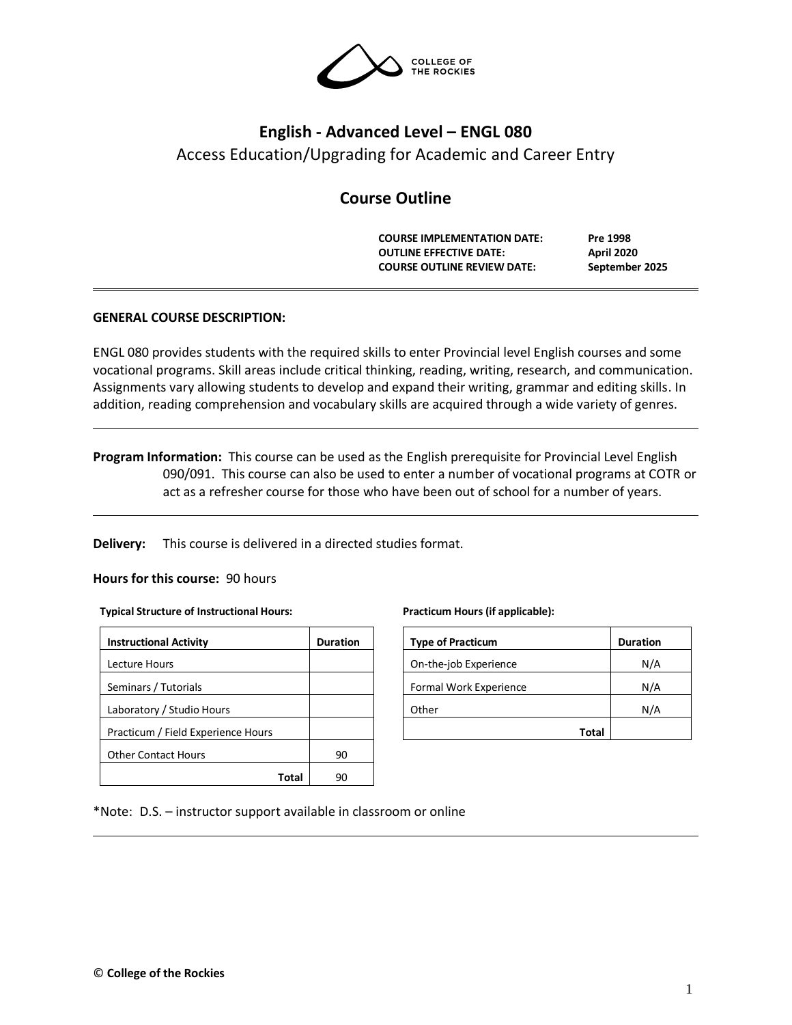

# **English - Advanced Level – ENGL 080** Access Education/Upgrading for Academic and Career Entry

## **Course Outline**

**COURSE IMPLEMENTATION DATE: Pre 1998 OUTLINE EFFECTIVE DATE: April 2020 COURSE OUTLINE REVIEW DATE: September 2025**

## **GENERAL COURSE DESCRIPTION:**

ENGL 080 provides students with the required skills to enter Provincial level English courses and some vocational programs. Skill areas include critical thinking, reading, writing, research, and communication. Assignments vary allowing students to develop and expand their writing, grammar and editing skills. In addition, reading comprehension and vocabulary skills are acquired through a wide variety of genres.

**Program Information:** This course can be used as the English prerequisite for Provincial Level English 090/091. This course can also be used to enter a number of vocational programs at COTR or act as a refresher course for those who have been out of school for a number of years.

**Delivery:** This course is delivered in a directed studies format.

### **Hours for this course:** 90 hours

#### **Typical Structure of Instructional Hours:**

| <b>Instructional Activity</b>      | <b>Duration</b> |  |  |
|------------------------------------|-----------------|--|--|
| Lecture Hours                      |                 |  |  |
| Seminars / Tutorials               |                 |  |  |
| Laboratory / Studio Hours          |                 |  |  |
| Practicum / Field Experience Hours |                 |  |  |
| <b>Other Contact Hours</b>         | 90              |  |  |
| Tota                               |                 |  |  |

**Practicum Hours (if applicable):**

| <b>Type of Practicum</b> | <b>Duration</b> |
|--------------------------|-----------------|
| On-the-job Experience    | N/A             |
| Formal Work Experience   | N/A             |
| Other                    | N/A             |
| Total                    |                 |

#### \*Note: D.S. – instructor support available in classroom or online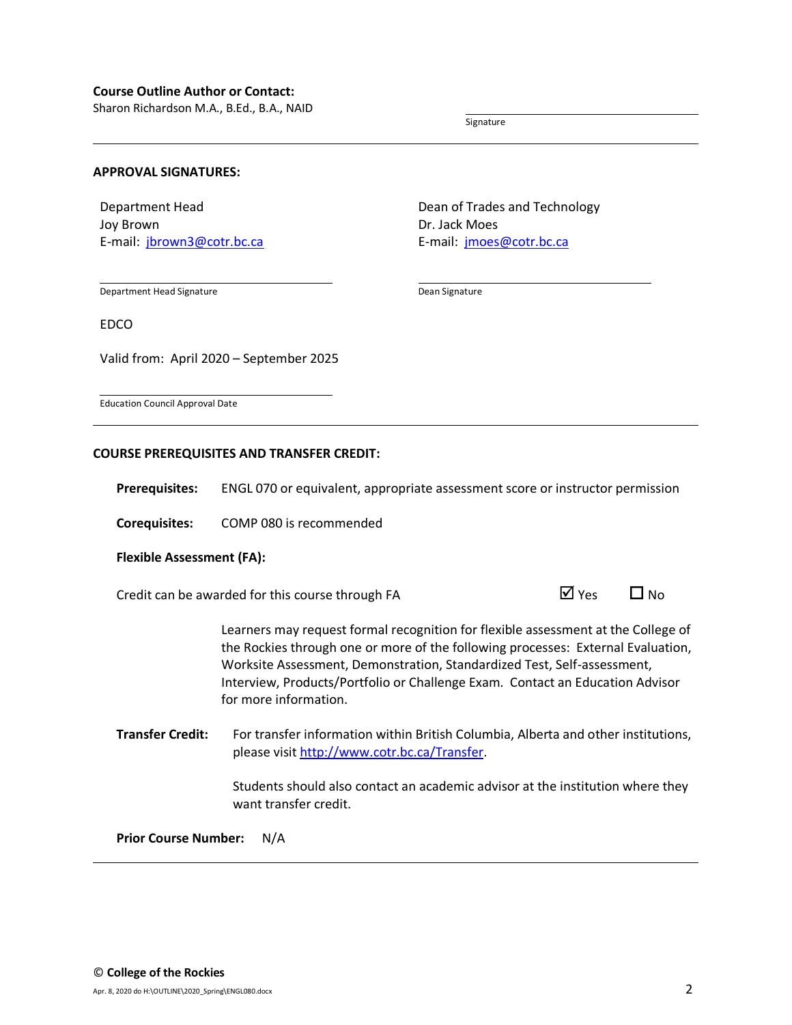Sharon Richardson M.A., B.Ed., B.A., NAID

Signature

#### **APPROVAL SIGNATURES:**

Department Head Joy Brown E-mail: [jbrown3@cotr.bc.ca](mailto:jbrown3@cotr.bc.ca) Dean of Trades and Technology Dr. Jack Moes E-mail: [jmoes@cotr.bc.ca](mailto:jmoes@cotr.bc.ca)

Department Head Signature

Dean Signature

EDCO

Valid from: April 2020 – September 2025

Education Council Approval Date

#### **COURSE PREREQUISITES AND TRANSFER CREDIT:**

**Prerequisites:** ENGL 070 or equivalent, appropriate assessment score or instructor permission

**Corequisites:** COMP 080 is recommended

#### **Flexible Assessment (FA):**

Credit can be awarded for this course through FA  $\Box$  Yes  $\Box$  No

Learners may request formal recognition for flexible assessment at the College of the Rockies through one or more of the following processes: External Evaluation, Worksite Assessment, Demonstration, Standardized Test, Self-assessment, Interview, Products/Portfolio or Challenge Exam. Contact an Education Advisor for more information.

**Transfer Credit:** For transfer information within British Columbia, Alberta and other institutions, please visit [http://www.cotr.bc.ca/Transfer.](http://www.cotr.bc.ca/Transfer)

> Students should also contact an academic advisor at the institution where they want transfer credit.

**Prior Course Number:** N/A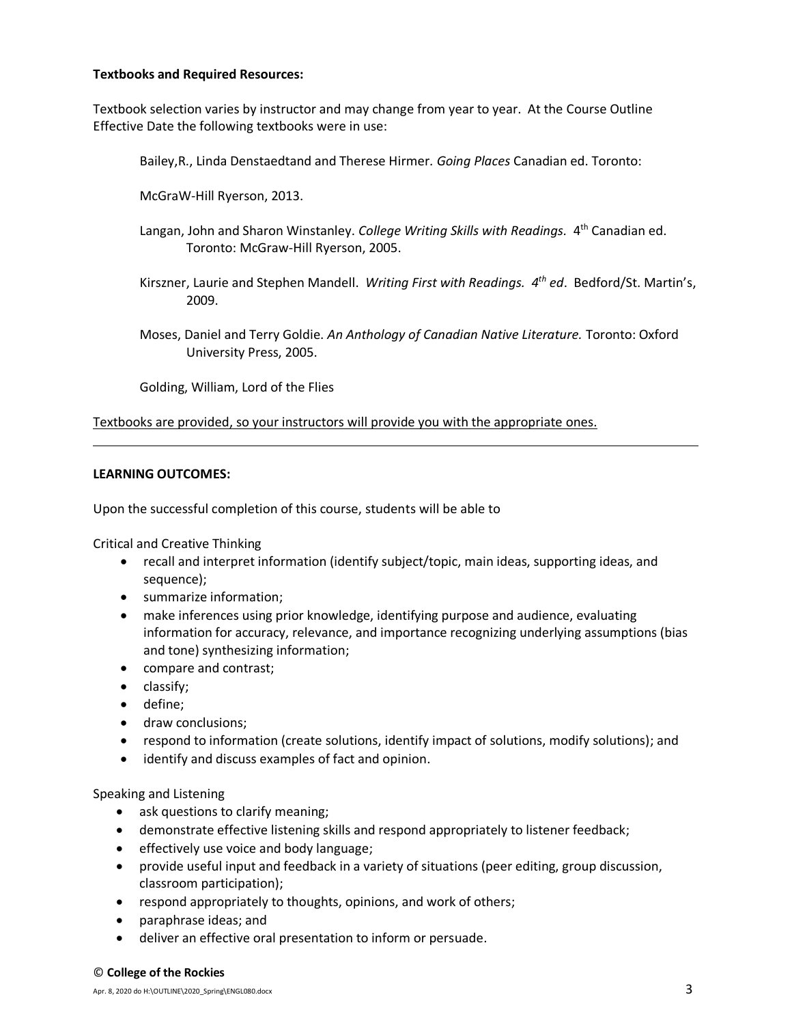## **Textbooks and Required Resources:**

Textbook selection varies by instructor and may change from year to year. At the Course Outline Effective Date the following textbooks were in use:

Bailey,R., Linda Denstaedtand and Therese Hirmer*. Going Places* Canadian ed. Toronto:

McGraW-Hill Ryerson, 2013.

- Langan, John and Sharon Winstanley. *College Writing Skills with Readings.* 4<sup>th</sup> Canadian ed. Toronto: McGraw-Hill Ryerson, 2005.
- Kirszner, Laurie and Stephen Mandell. *Writing First with Readings. 4 th ed*. Bedford/St. Martin's, 2009.
- Moses, Daniel and Terry Goldie. *An Anthology of Canadian Native Literature.* Toronto: Oxford University Press, 2005.

Golding, William, Lord of the Flies

Textbooks are provided, so your instructors will provide you with the appropriate ones.

## **LEARNING OUTCOMES:**

Upon the successful completion of this course, students will be able to

Critical and Creative Thinking

- recall and interpret information (identify subject/topic, main ideas, supporting ideas, and sequence);
- summarize information;
- make inferences using prior knowledge, identifying purpose and audience, evaluating information for accuracy, relevance, and importance recognizing underlying assumptions (bias and tone) synthesizing information;
- compare and contrast;
- classify;
- define;
- draw conclusions;
- respond to information (create solutions, identify impact of solutions, modify solutions); and
- identify and discuss examples of fact and opinion.

Speaking and Listening

- ask questions to clarify meaning;
- demonstrate effective listening skills and respond appropriately to listener feedback;
- effectively use voice and body language;
- provide useful input and feedback in a variety of situations (peer editing, group discussion, classroom participation);
- respond appropriately to thoughts, opinions, and work of others;
- paraphrase ideas; and
- deliver an effective oral presentation to inform or persuade.

#### © **College of the Rockies**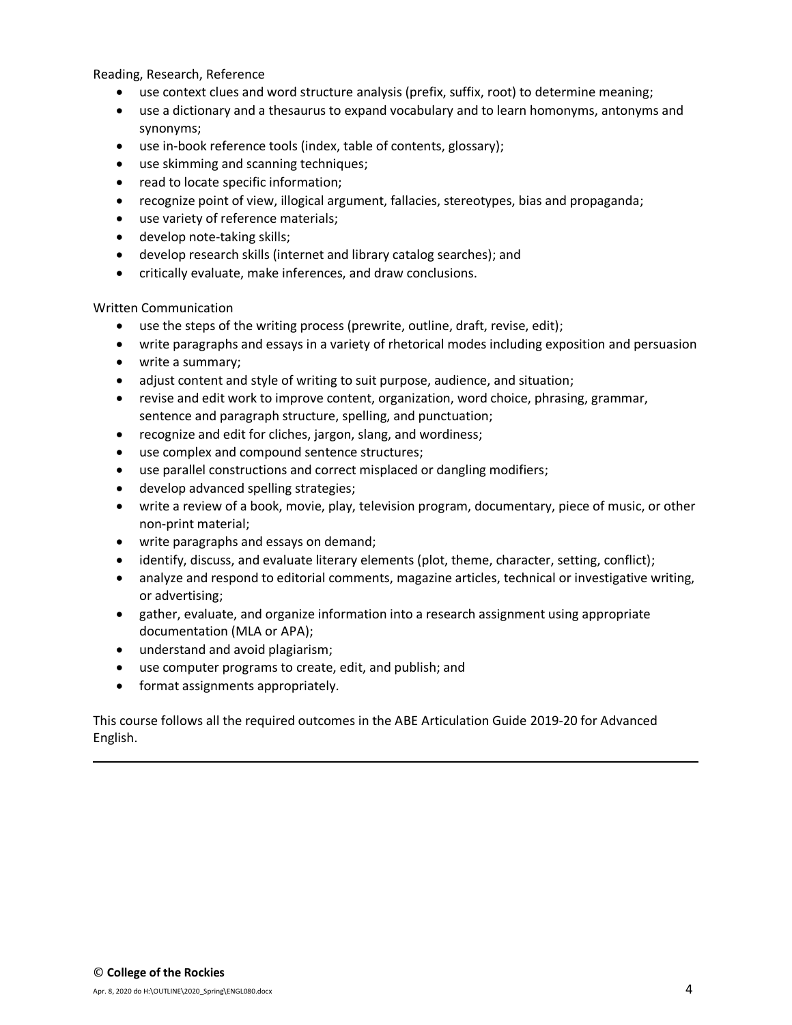Reading, Research, Reference

- use context clues and word structure analysis (prefix, suffix, root) to determine meaning;
- use a dictionary and a thesaurus to expand vocabulary and to learn homonyms, antonyms and synonyms;
- use in-book reference tools (index, table of contents, glossary);
- use skimming and scanning techniques;
- read to locate specific information;
- recognize point of view, illogical argument, fallacies, stereotypes, bias and propaganda;
- use variety of reference materials;
- develop note-taking skills;
- develop research skills (internet and library catalog searches); and
- critically evaluate, make inferences, and draw conclusions.

Written Communication

- use the steps of the writing process (prewrite, outline, draft, revise, edit);
- write paragraphs and essays in a variety of rhetorical modes including exposition and persuasion
- write a summary;
- adjust content and style of writing to suit purpose, audience, and situation;
- revise and edit work to improve content, organization, word choice, phrasing, grammar, sentence and paragraph structure, spelling, and punctuation;
- recognize and edit for cliches, jargon, slang, and wordiness;
- use complex and compound sentence structures;
- use parallel constructions and correct misplaced or dangling modifiers;
- develop advanced spelling strategies;
- write a review of a book, movie, play, television program, documentary, piece of music, or other non-print material;
- write paragraphs and essays on demand;
- identify, discuss, and evaluate literary elements (plot, theme, character, setting, conflict);
- analyze and respond to editorial comments, magazine articles, technical or investigative writing, or advertising;
- gather, evaluate, and organize information into a research assignment using appropriate documentation (MLA or APA);
- understand and avoid plagiarism;
- use computer programs to create, edit, and publish; and
- format assignments appropriately.

This course follows all the required outcomes in the ABE Articulation Guide 2019-20 for Advanced English.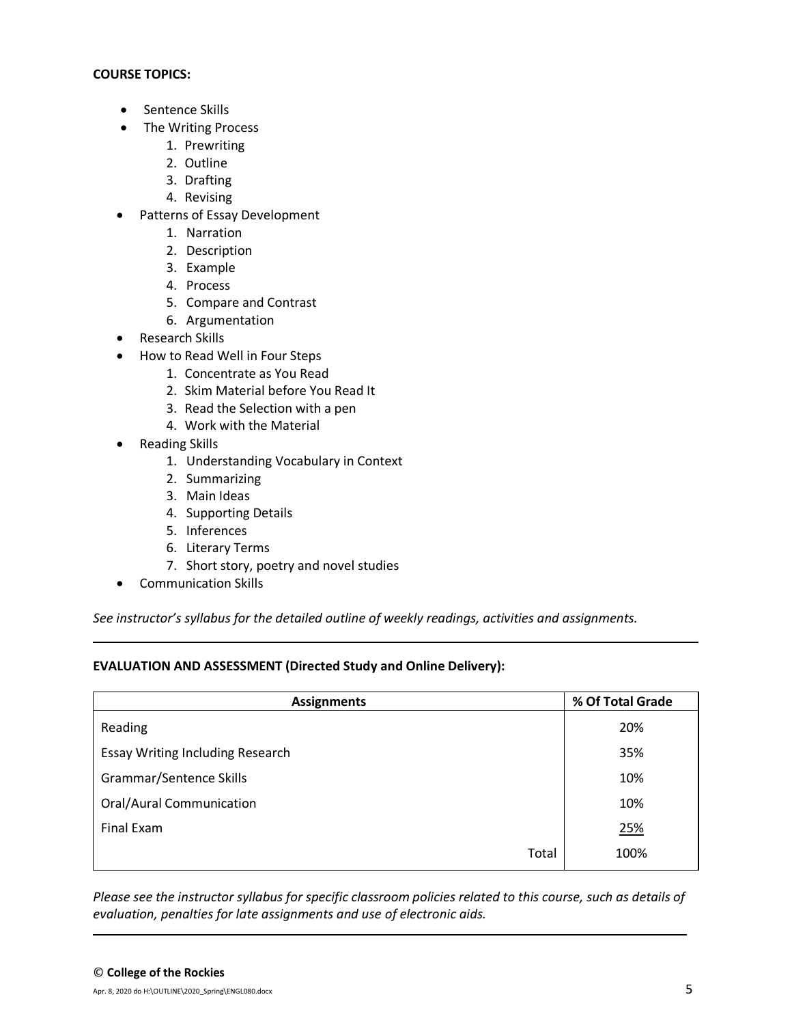## **COURSE TOPICS:**

- Sentence Skills
- The Writing Process
	- 1. Prewriting
	- 2. Outline
	- 3. Drafting
	- 4. Revising
- Patterns of Essay Development
	- 1. Narration
	- 2. Description
	- 3. Example
	- 4. Process
	- 5. Compare and Contrast
	- 6. Argumentation
- Research Skills
- How to Read Well in Four Steps
	- 1. Concentrate as You Read
	- 2. Skim Material before You Read It
	- 3. Read the Selection with a pen
	- 4. Work with the Material
- Reading Skills
	- 1. Understanding Vocabulary in Context
	- 2. Summarizing
	- 3. Main Ideas
	- 4. Supporting Details
	- 5. Inferences
	- 6. Literary Terms
	- 7. Short story, poetry and novel studies
- Communication Skills

*See instructor's syllabus for the detailed outline of weekly readings, activities and assignments.* 

## **EVALUATION AND ASSESSMENT (Directed Study and Online Delivery):**

| <b>Assignments</b>                      | % Of Total Grade |  |  |
|-----------------------------------------|------------------|--|--|
| Reading                                 | 20%              |  |  |
| <b>Essay Writing Including Research</b> | 35%              |  |  |
| Grammar/Sentence Skills                 | 10%              |  |  |
| <b>Oral/Aural Communication</b>         | 10%              |  |  |
| Final Exam                              | 25%              |  |  |
| Total                                   | 100%             |  |  |

*Please see the instructor syllabus for specific classroom policies related to this course, such as details of evaluation, penalties for late assignments and use of electronic aids.*

Apr. 8, 2020 do H:\OUTLINE\2020\_Spring\ENGL080.docx  $5$